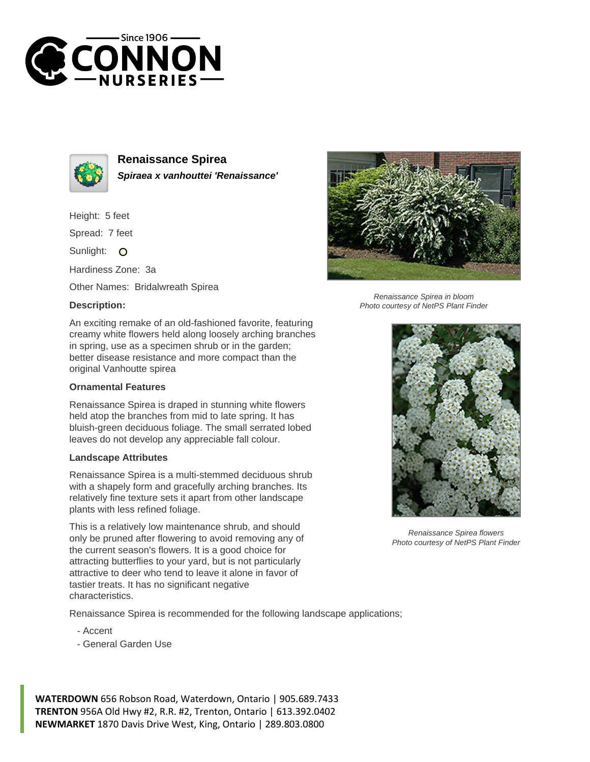



**Renaissance Spirea Spiraea x vanhouttei 'Renaissance'**

Height: 5 feet

Spread: 7 feet

Sunlight: O

Hardiness Zone: 3a

Other Names: Bridalwreath Spirea

## **Description:**



## **Ornamental Features**

Renaissance Spirea is draped in stunning white flowers held atop the branches from mid to late spring. It has bluish-green deciduous foliage. The small serrated lobed leaves do not develop any appreciable fall colour.

## **Landscape Attributes**

Renaissance Spirea is a multi-stemmed deciduous shrub with a shapely form and gracefully arching branches. Its relatively fine texture sets it apart from other landscape plants with less refined foliage.

This is a relatively low maintenance shrub, and should only be pruned after flowering to avoid removing any of the current season's flowers. It is a good choice for attracting butterflies to your yard, but is not particularly attractive to deer who tend to leave it alone in favor of tastier treats. It has no significant negative characteristics.

Renaissance Spirea is recommended for the following landscape applications;

- Accent
- General Garden Use

**WATERDOWN** 656 Robson Road, Waterdown, Ontario | 905.689.7433 **TRENTON** 956A Old Hwy #2, R.R. #2, Trenton, Ontario | 613.392.0402 **NEWMARKET** 1870 Davis Drive West, King, Ontario | 289.803.0800



Renaissance Spirea in bloom Photo courtesy of NetPS Plant Finder



Renaissance Spirea flowers Photo courtesy of NetPS Plant Finder